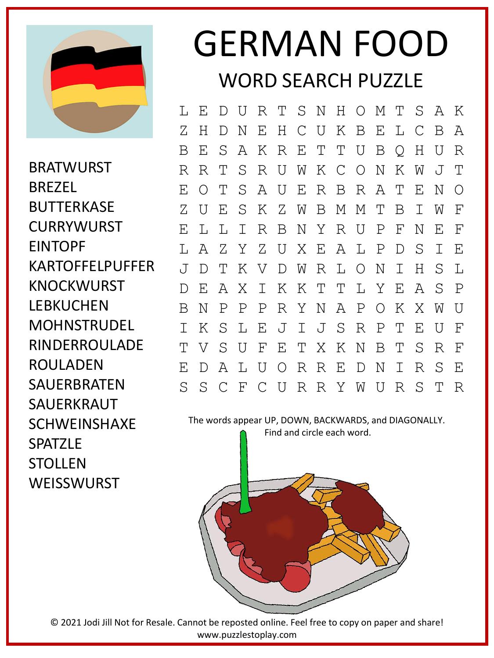

BRATWURST BREZEL **BUTTERKASE** CURRYWURST EINTOPF KARTOFFELPUFFER KNOCKWURST LEBKUCHEN **MOHNSTRUDFL** RINDERROULADE ROULADEN SAUERBRATEN SAUERKRAUT SCHWEINSHAXE **SPATZLF STOLLEN WEISSWURST** 

## GERMAN FOOD WORD SEARCH PUZZLE

L E D U R T S N H O M T S A K Z H D N E H C U K B E L C B A B E S A K R E T T U B Q H U R R R T S R U W K C O N K W J T E O T S A U E R B R A T E N O Z U E S K Z W B M M T B I W F E L L I R B N Y R U P F N E F L A Z Y Z U X E A L P D S I E J D T K V D W R L O N I H S L D E A X I K K T T L Y E A S P B N P P P R Y N A P O K X W U I K S L E J I J S R P T E U F T V S U F E T X K N B T S R F E D A L U O R R E D N I R S E S S C F C U R R Y W U R S T R

The words appear UP, DOWN, BACKWARDS, and DIAGONALLY.

Find and circle each word.



© 2021 Jodi Jill Not for Resale. Cannot be reposted online. Feel free to copy on paper and share! www.puzzlestoplay.com